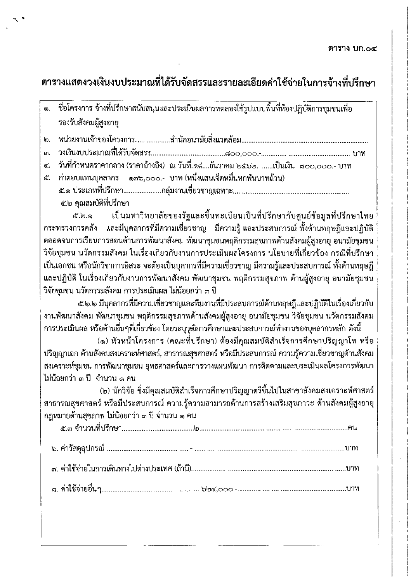## ตารางแสดงวงเงินงบประมาณที่ได้รับจัดสรรและรายละเอียดค่าใช้จ่ายในการจ้างที่ปรึกษา

- ี ชื่อโครงการ จ้างที่ปรึกษาสนับสนุนและประเมินผลการทดลองใช้รูปแบบพื้นที่ห้องปฏิบัติการซุมชนเพื่อ ෧. รองรับสังคมผู้สูงอายุ
- |ო.
- <u>ີ</u>
- ๔. วันที่กำหนดราคากลาง (ราคาอ้างอิง) ณ วันที่.............ันวาคม ๒๕๖๒. ......เป็นเงิน ๘๐๐,๐๐๐.- บาท
- ๕. ค่าตอบแทนบุคลากร ๑๗๖,๐๐๐.- บาท(หนึ่งแสนเจ็ดหมื่นหกพันบาทถ้วน) ๕.๒ คุณสมบัติที่ปรึกษา

เป็นมหาวิทยาลัยของรัฐและขึ้นทะเบียนเป็นที่ปรึกษากับศูนย์ข้อมูลที่ปรึกษาไทย ๕.๒.๑ กระทรวงการคลัง และมีบุคลากรที่มีความเชี่ยวชาญ มีความรู้ และประสบการณ์ ทั้งด้านทฤษฎีและปฏิบัติ ตลอดจนการเรียนการสอนด้านการพัฒนาสังคม พัฒนาชุมชนพฤติกรรมสุขภาพด้านสังคมผู้สูงอายุ อนามัยชุมชน วิจัยชุมชน นวัตกรรมสังคม ในเรื่องเกี่ยวกับงานการประเมินผลโครงการ นโยบายที่เกี่ยวข้อง กรณีที่ปรึกษา เป็นเอกชน หรือนักวิชาการอิสระ จะต้องเป็นบุคากรที่มีความเชี่ยวชาญ มีความรู้และประสบการณ์ ทั้งด้านทฤษฎี และปฏิบัติ ในเรื่องเกี่ยวกับงานการพัฒนาสังคม พัฒนาชุมชน พฤติกรรมสุขภาพ ด้านผู้สูงอายุ อนามัยชุมชน วิจัยชุมชน นวัตกรรมสังคม การประเมินผล ไม่น้อยกว่า ๓ ปี

๕.๒.๒ มีบุคลากรที่มีความเชี่ยวชาญและทีมงานที่มีประสบการณ์ด้านทฤษฎีและปฏิบัติในเรื่องเกี่ยวกับ งานพัฒนาสังคม พัฒนาชุมชน พฤติกรรมสุขภาพด้านสังคมผู้สูงอายุ อนามัยชุมชน วิจัยชุมชน นวัตกรรมสังคม ่ การประเมินผล หรือด้านอื่นๆที่เกี่ยวข้อง โดยระบุวุฒิการศึกษาและประสบการณ์ทำงานของบุคลากรหลัก ดังนี้

(๑) หัวหน้าโครงการ (คณะที่ปรึกษา) ต้องมีคุณสมบัติสำเร็จการศึกษาปริญญาโท หรือ ี ปริญญาเอก ด้านสังคมสงเคราะห์ศาสตร์, สาธารณสุขศาสตร์ หรือมีประสบการณ์ ความรู้ความเชี่ยวชาญด้านสังคม ิสงเคราะห์ชุมชน การพัฒนาชุมชน ยุทธศาสตร์และการวางแผนพัฒนา การติดตามและประเมินผลโครงการพัฒนา ไม่น้อยกว่า ๓ ปี จำนวน ๑ คน

(๒) นักวิจัย ซิ่งมีคุณสมบัติสำเร็จการศึกษาปริญญาตรีขึ้นไปในสาขาสังคมสงเคราะห์ศาสตร์ สาธารณสุขศาสตร์ หรือมีประสบการณ์ ความรู้ความสามารถด้านการสร้างเสริมสุขภาวะ ด้านสังคมผู้สูงอายุ ึกฎหมายด้านสุขภาพ ไม่น้อยกว่า ๓ ปี จำนวน ๑ คน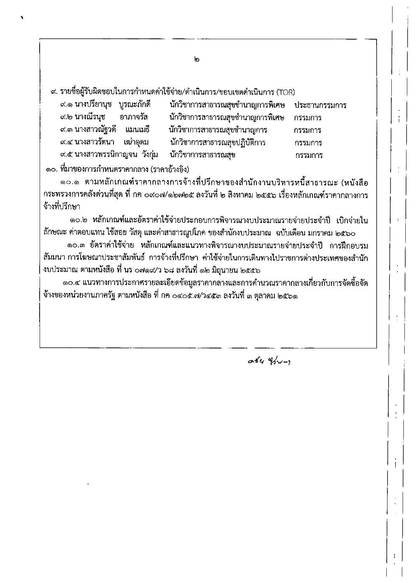๙. รายชื่อผู้รับผิดชอบในการกำหนดค่าใช้จ่าย/ดำเนินการ/ขอบเขตดำเนินการ (TOR)

| ๙.๑ นางปรียานุช   บูรณะภักดี |          | นักวิชาการสาธารณสุขชำนาญการพิเศษ ประธานกรรมการ |         |
|------------------------------|----------|------------------------------------------------|---------|
| ๙.๒ นางณีรนุช                | อาภาจรัส | นักวิชาการสาธารณสุขชำนาญการพิเศษ               | กรรมการ |
| ๙.๓ นางสาวณัฐวดี แมนเมธี     |          | นักวิชาการสาธารณสุขชำนาญการ                    | กรรมการ |
| ี่ ๙.๔ นางสาวรัตนา เฒ่าอุดม  |          | นักวิชาการสาธารณสุขปฏิบัติการ                  | กรรมการ |
| ๙.๕ นางสาวพรรนิกาญจน วังกุ่ม |          | นักวิชาการสาธารณสุข                            | กรรมการ |
|                              |          |                                                |         |

๑๐. ที่มาของการกำหนดราคากลาง (ราคาอ้างอิง)

๑๐.๑ ตามหลักเกณฑ์ราคากลางการจ้างที่ปรึกษาของสำนักงานบริหารหนี้สาธารณะ (หนังสือ กระทรวงการคลังด่วนที่สุด ที่ กค ๐๙๐๗/๑๒๗๒๕ ลงวันที่ ๒ สิงหาคม ๒๕๕๖ เรื่องหลักเกณฑ์ราคากลางการ จ้างที่ปรึกษา

๑๐.๒ หลักเกณฑ์และอัตราค่าใช้จ่ายประกอบการพิจารณางบประมาณรายจ่ายประจำปี เบิกจ่ายใน ลักษณะ ค่าตอบแทน ใช้สอย วัสดุ และค่าสาธารณูปโภค ของสำนักงบประมาณ ฉบับเดือน มกราคม ๒๕๖๐

๑๐.๓ อัตราค่าใช้จ่าย หลักเกณฑ์และแนวทางพิจารณางบประมาณรายจ่ายประจำปี การฝึกอบรม สัมมนา การโฆษณาประชาสัมพันธ์ การจ้างที่ปรึกษา ค่าใช้จ่ายในการเดินทางไปราชการต่างประเทศของสำนัก งบประมาณ ตามหนังสือ ที่ นร ๐๗๑๙⁄ว ๖๘ ลงวันที่ ๑๒ มิถุนายน ๒๕๕๖

๑๐.๔ แนวทางการประกาศรายละเอียดข้อมูลราคากลางและการคำนวณราคากลางเกี่ยวกับการจัดซื้อจัด จ้างของหน่วยงานภาครัฐ ตามหนังสือ ที่ กค ๐๔๐๕.๗/ว๔๕๓ ลงวันที่ ๓ ตุลาคม ๒๕๖๑

 $a b y 211$